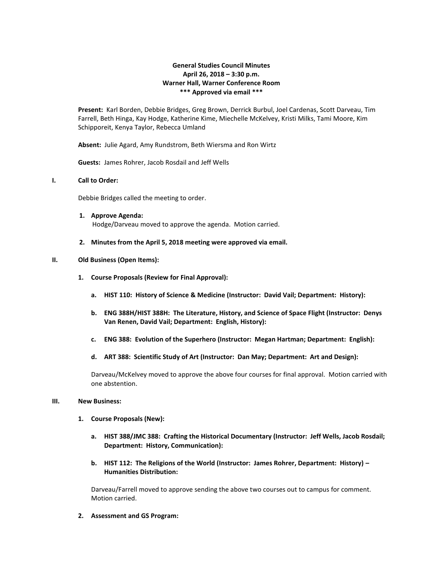# **General Studies Council Minutes April 26, 2018 – 3:30 p.m. Warner Hall, Warner Conference Room \*\*\* Approved via email \*\*\***

**Present:** Karl Borden, Debbie Bridges, Greg Brown, Derrick Burbul, Joel Cardenas, Scott Darveau, Tim Farrell, Beth Hinga, Kay Hodge, Katherine Kime, Miechelle McKelvey, Kristi Milks, Tami Moore, Kim Schipporeit, Kenya Taylor, Rebecca Umland

**Absent:** Julie Agard, Amy Rundstrom, Beth Wiersma and Ron Wirtz

**Guests:** James Rohrer, Jacob Rosdail and Jeff Wells

### **I. Call to Order:**

Debbie Bridges called the meeting to order.

- **1. Approve Agenda:** Hodge/Darveau moved to approve the agenda. Motion carried.
- **2. Minutes from the April 5, 2018 meeting were approved via email.**

#### **II. Old Business (Open Items):**

- **1. Course Proposals (Review for Final Approval):**
	- **a. HIST 110: History of Science & Medicine (Instructor: David Vail; Department: History):**
	- **b. ENG 388H/HIST 388H: The Literature, History, and Science of Space Flight (Instructor: Denys Van Renen, David Vail; Department: English, History):**
	- **c. ENG 388: Evolution of the Superhero (Instructor: Megan Hartman; Department: English):**
	- **d. ART 388: Scientific Study of Art (Instructor: Dan May; Department: Art and Design):**

Darveau/McKelvey moved to approve the above four courses for final approval. Motion carried with one abstention.

### **III. New Business:**

- **1. Course Proposals (New):**
	- **a. HIST 388/JMC 388: Crafting the Historical Documentary (Instructor: Jeff Wells, Jacob Rosdail; Department: History, Communication):**
	- **b. HIST 112: The Religions of the World (Instructor: James Rohrer, Department: History) – Humanities Distribution:**

Darveau/Farrell moved to approve sending the above two courses out to campus for comment. Motion carried.

**2. Assessment and GS Program:**